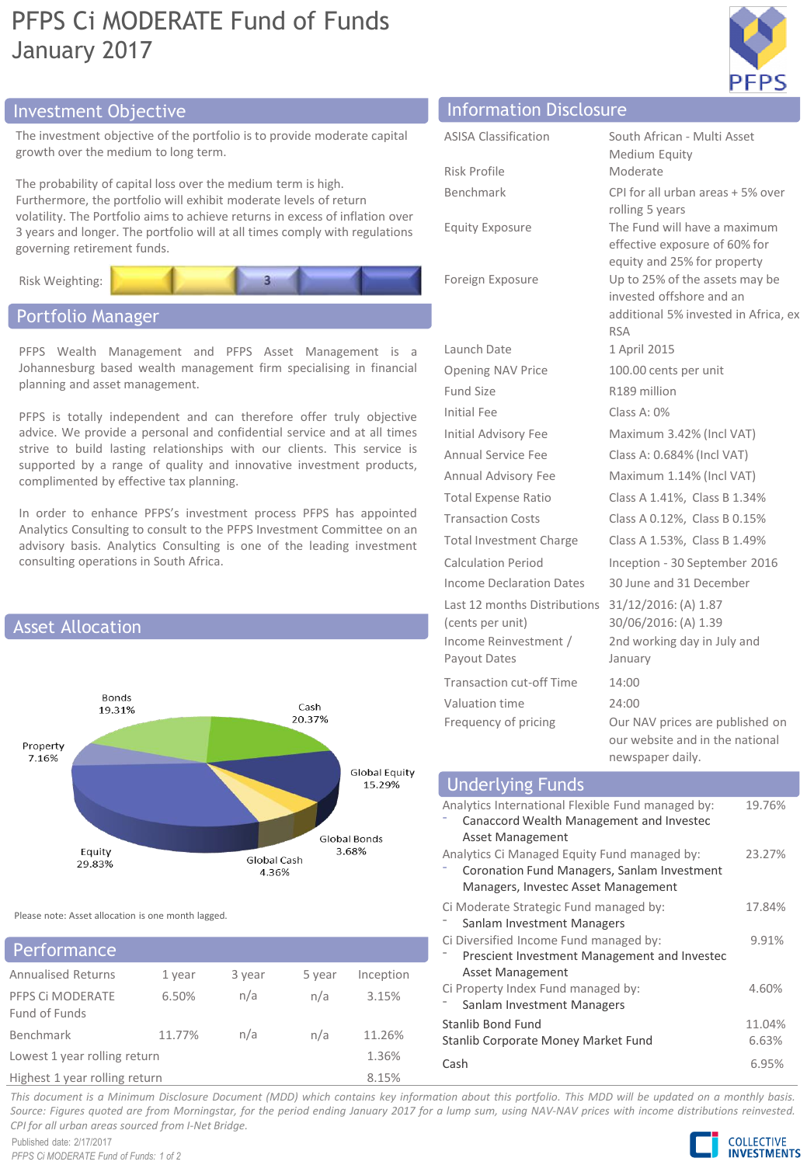# PFPS Ci MODERATE Fund of Funds January 2017



## Investment Objective Information Disclosure

The investment objective of the portfolio is to provide moderate capital growth over the medium to long term.

The probability of capital loss over the medium term is high. Furthermore, the portfolio will exhibit moderate levels of return volatility. The Portfolio aims to achieve returns in excess of inflation over 3 years and longer. The portfolio will at all times comply with regulations governing retirement funds.



## Portfolio Manager

PFPS Wealth Management and PFPS Asset Management is a Johannesburg based wealth management firm specialising in financial planning and asset management.

PFPS is totally independent and can therefore offer truly objective advice. We provide a personal and confidential service and at all times strive to build lasting relationships with our clients. This service is supported by a range of quality and innovative investment products, complimented by effective tax planning.

In order to enhance PFPS's investment process PFPS has appointed Analytics Consulting to consult to the PFPS Investment Committee on an advisory basis. Analytics Consulting is one of the leading investment consulting operations in South Africa.



Please note: Asset allocation is one month lagged.

### **Performance**

| <b>Annualised Returns</b>         | 1 year | 3 year | 5 year | Inception |  |
|-----------------------------------|--------|--------|--------|-----------|--|
| PFPS CI MODERATE<br>Fund of Funds | 6.50%  | n/a    | n/a    | 3.15%     |  |
| Benchmark                         | 11.77% | n/a    | n/a    | 11.26%    |  |
| Lowest 1 year rolling return      |        |        |        | 1.36%     |  |
| Highest 1 year rolling return     |        |        |        | 8.15%     |  |

| South African - Multi Asset<br>Medium Equity<br>Moderate<br>CPI for all urban areas + 5% over<br>rolling 5 years<br>The Fund will have a maximum<br>effective exposure of 60% for |
|-----------------------------------------------------------------------------------------------------------------------------------------------------------------------------------|
|                                                                                                                                                                                   |
|                                                                                                                                                                                   |
|                                                                                                                                                                                   |
|                                                                                                                                                                                   |
|                                                                                                                                                                                   |
|                                                                                                                                                                                   |
| equity and 25% for property                                                                                                                                                       |
| Up to 25% of the assets may be                                                                                                                                                    |
| invested offshore and an                                                                                                                                                          |
| additional 5% invested in Africa, ex<br><b>RSA</b>                                                                                                                                |
| 1 April 2015                                                                                                                                                                      |
| 100.00 cents per unit                                                                                                                                                             |
| R189 million                                                                                                                                                                      |
| Class A: 0%                                                                                                                                                                       |
| Maximum 3.42% (Incl VAT)                                                                                                                                                          |
| Class A: 0.684% (Incl VAT)                                                                                                                                                        |
| Maximum 1.14% (Incl VAT)                                                                                                                                                          |
| Class A 1.41%, Class B 1.34%                                                                                                                                                      |
| Class A 0.12%, Class B 0.15%                                                                                                                                                      |
| Class A 1.53%, Class B 1.49%                                                                                                                                                      |
| Inception - 30 September 2016                                                                                                                                                     |
| 30 June and 31 December                                                                                                                                                           |
| 31/12/2016: (A) 1.87                                                                                                                                                              |
| 30/06/2016: (A) 1.39                                                                                                                                                              |
| 2nd working day in July and                                                                                                                                                       |
| January                                                                                                                                                                           |
| 14:00                                                                                                                                                                             |
| 24:00                                                                                                                                                                             |
| Our NAV prices are published on<br>our website and in the national                                                                                                                |
| newspaper daily.                                                                                                                                                                  |
|                                                                                                                                                                                   |

| <b>Underlying Funds</b>                           |        |
|---------------------------------------------------|--------|
| Analytics International Flexible Fund managed by: | 19.76% |
| Canaccord Wealth Management and Investec          |        |
| Asset Management                                  |        |
| Analytics Ci Managed Equity Fund managed by:      | 23.27% |
| Coronation Fund Managers, Sanlam Investment       |        |
| Managers, Investec Asset Management               |        |
| Ci Moderate Strategic Fund managed by:            | 17.84% |
| Sanlam Investment Managers                        |        |
| Ci Diversified Income Fund managed by:            | 9.91%  |
| Prescient Investment Management and Investec      |        |
| Asset Management                                  |        |
| Ci Property Index Fund managed by:                | 4.60%  |
| Sanlam Investment Managers                        |        |
| Stanlib Bond Fund                                 | 11.04% |
| Stanlib Corporate Money Market Fund               | 6.63%  |
| Cash                                              | 6.95%  |

This document is a Minimum Disclosure Document (MDD) which contains key information about this portfolio. This MDD will be updated on a monthly basis. Source: Figures guoted are from Morningstar, for the period ending January 2017 for a lump sum, using NAV-NAV prices with income distributions reinvested. *CPI for all urban areas sourced from I-Net Bridge.*

Published date: 2/17/2017 *PFPS Ci MODERATE Fund of Funds: 1 of 2*